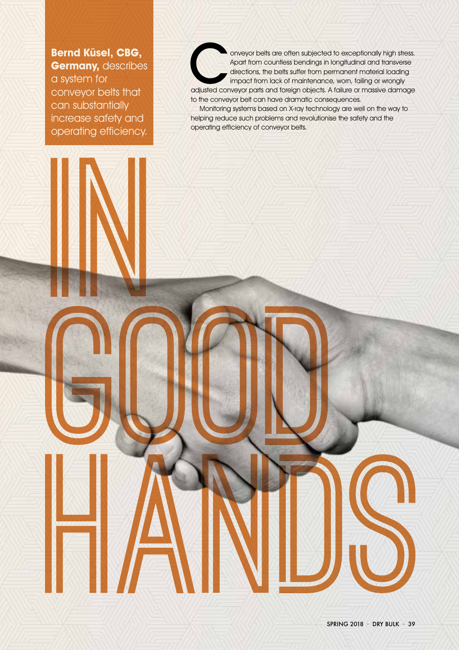**Bernd Küsel, CBG, Germany, describes** 

a system for conveyor belts that can substantially increase safety and operating efficiency. onveyor belts are often subjected to exceptionally high stress.<br>Apart from countless bendings in longitudinal and transverse<br>directions, the belts suffer from permanent material loading<br>impact from lack of maintenance, wor Apart from countless bendings in longitudinal and transverse directions, the belts suffer from permanent material loading impact from lack of maintenance, worn, failing or wrongly to the conveyor belt can have dramatic consequences.

Monitoring systems based on X-ray technology are well on the way to helping reduce such problems and revolutionise the safety and the operating efficiency of conveyor belts.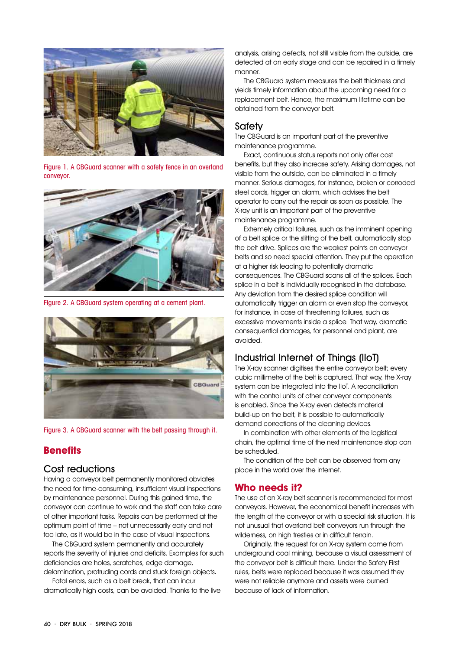

Figure 1. A CBGuard scanner with a safety fence in an overland conveyor.



Figure 2. A CBGuard system operating at a cement plant.



Figure 3. A CBGuard scanner with the belt passing through it.

# **Benefits**

### Cost reductions

Having a conveyor belt permanently monitored obviates the need for time-consuming, insufficient visual inspections by maintenance personnel. During this gained time, the conveyor can continue to work and the staff can take care of other important tasks. Repairs can be performed at the optimum point of time – not unnecessarily early and not too late, as it would be in the case of visual inspections.

The CBGuard system permanently and accurately reports the severity of injuries and deficits. Examples for such deficiencies are holes, scratches, edge damage, delamination, protruding cords and stuck foreign objects.

Fatal errors, such as a belt break, that can incur dramatically high costs, can be avoided. Thanks to the live analysis, arising defects, not still visible from the outside, are detected at an early stage and can be repaired in a timely manner.

The CBGuard system measures the belt thickness and yields timely information about the upcoming need for a replacement belt. Hence, the maximum lifetime can be obtained from the conveyor belt.

## **Safety**

The CBGuard is an important part of the preventive maintenance programme.

Exact, continuous status reports not only offer cost benefits, but they also increase safety. Arising damages, not visible from the outside, can be eliminated in a timely manner. Serious damages, for instance, broken or corroded steel cords, trigger an alarm, which advises the belt operator to carry out the repair as soon as possible. The X-ray unit is an important part of the preventive maintenance programme.

Extremely critical failures, such as the imminent opening of a belt splice or the slitting of the belt, automatically stop the belt drive. Splices are the weakest points on conveyor belts and so need special attention. They put the operation at a higher risk leading to potentially dramatic consequences. The CBGuard scans all of the splices. Each splice in a belt is individually recognised in the database. Any deviation from the desired splice condition will automatically trigger an alarm or even stop the conveyor, for instance, in case of threatening failures, such as excessive movements inside a splice. That way, dramatic consequential damages, for personnel and plant, are avoided.

# Industrial Internet of Things (IIoT)

The X-ray scanner digitises the entire conveyor belt; every cubic millimetre of the belt is captured. That way, the X-ray system can be integrated into the IIoT. A reconciliation with the control units of other conveyor components is enabled. Since the X-ray even detects material build-up on the belt, it is possible to automatically demand corrections of the cleaning devices.

In combination with other elements of the logistical chain, the optimal time of the next maintenance stop can be scheduled.

The condition of the belt can be observed from any place in the world over the internet.

### **Who needs it?**

The use of an X-ray belt scanner is recommended for most convevors. However, the economical benefit increases with the length of the conveyor or with a special risk situation. It is not unusual that overland belt conveyors run through the wilderness, on high trestles or in difficult terrain.

Originally, the request for an X-ray system came from underground coal mining, because a visual assessment of the convevor belt is difficult there. Under the Safety First rules, belts were replaced because it was assumed they were not reliable anymore and assets were burned because of lack of information.